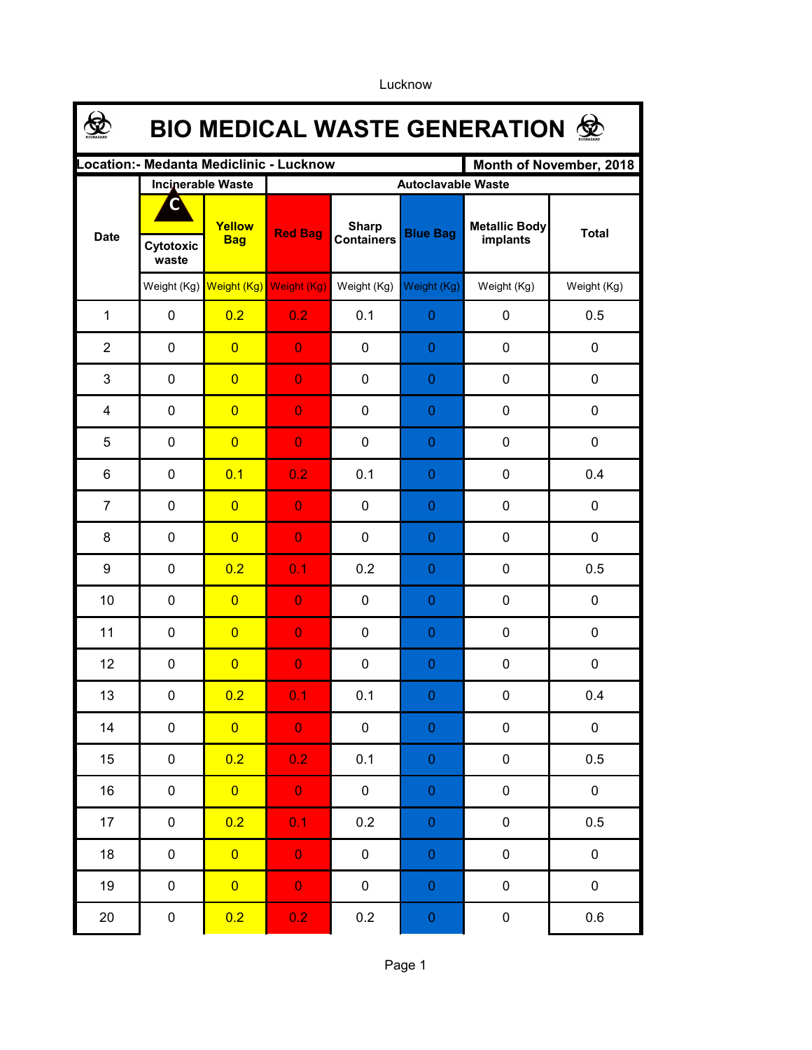Lucknow

Page 1